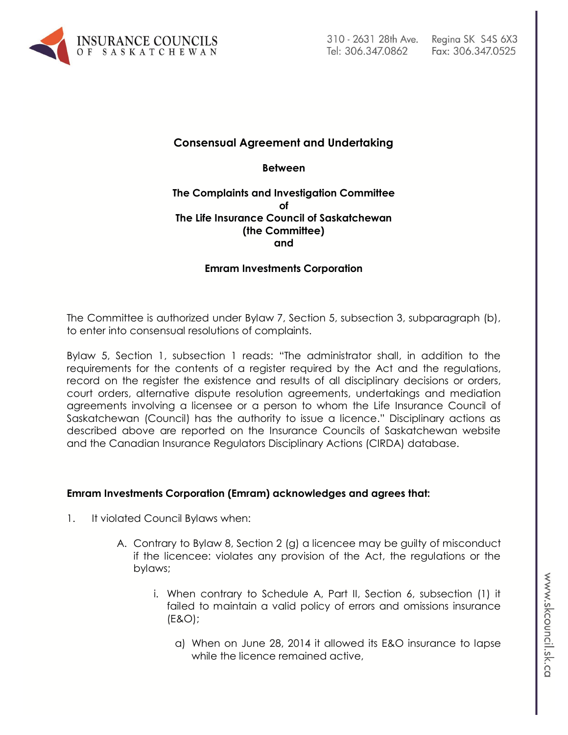

# **Consensual Agreement and Undertaking**

**Between**

### **The Complaints and Investigation Committee of The Life Insurance Council of Saskatchewan (the Committee) and**

### **Emram Investments Corporation**

The Committee is authorized under Bylaw 7, Section 5, subsection 3, subparagraph (b), to enter into consensual resolutions of complaints.

Bylaw 5, Section 1, subsection 1 reads: "The administrator shall, in addition to the requirements for the contents of a register required by the Act and the regulations, record on the register the existence and results of all disciplinary decisions or orders, court orders, alternative dispute resolution agreements, undertakings and mediation agreements involving a licensee or a person to whom the Life Insurance Council of Saskatchewan (Council) has the authority to issue a licence." Disciplinary actions as described above are reported on the Insurance Councils of Saskatchewan website and the Canadian Insurance Regulators Disciplinary Actions (CIRDA) database.

#### **Emram Investments Corporation (Emram) acknowledges and agrees that:**

- 1. It violated Council Bylaws when:
	- A. Contrary to Bylaw 8, Section 2 (g) a licencee may be guilty of misconduct if the licencee: violates any provision of the Act, the regulations or the bylaws;
		- i. When contrary to Schedule A, Part II, Section 6, subsection (1) it failed to maintain a valid policy of errors and omissions insurance (E&O);
			- a) When on June 28, 2014 it allowed its E&O insurance to lapse while the licence remained active,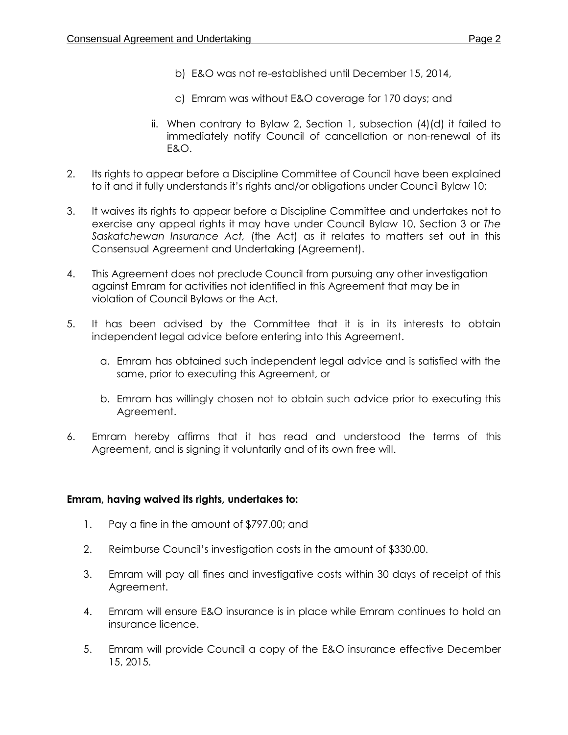- b) E&O was not re-established until December 15, 2014,
- c) Emram was without E&O coverage for 170 days; and
- ii. When contrary to Bylaw 2, Section 1, subsection (4)(d) it failed to immediately notify Council of cancellation or non-renewal of its E&O.
- 2. Its rights to appear before a Discipline Committee of Council have been explained to it and it fully understands it's rights and/or obligations under Council Bylaw 10;
- 3. It waives its rights to appear before a Discipline Committee and undertakes not to exercise any appeal rights it may have under Council Bylaw 10, Section 3 or *The Saskatchewan Insurance Act,* (the Act) as it relates to matters set out in this Consensual Agreement and Undertaking (Agreement).
- 4. This Agreement does not preclude Council from pursuing any other investigation against Emram for activities not identified in this Agreement that may be in violation of Council Bylaws or the Act.
- 5. It has been advised by the Committee that it is in its interests to obtain independent legal advice before entering into this Agreement.
	- a. Emram has obtained such independent legal advice and is satisfied with the same, prior to executing this Agreement, or
	- b. Emram has willingly chosen not to obtain such advice prior to executing this Agreement.
- 6. Emram hereby affirms that it has read and understood the terms of this Agreement, and is signing it voluntarily and of its own free will.

### **Emram, having waived its rights, undertakes to:**

- 1. Pay a fine in the amount of \$797.00; and
- 2. Reimburse Council's investigation costs in the amount of \$330.00.
- 3. Emram will pay all fines and investigative costs within 30 days of receipt of this Agreement.
- 4. Emram will ensure E&O insurance is in place while Emram continues to hold an insurance licence.
- 5. Emram will provide Council a copy of the E&O insurance effective December 15, 2015.